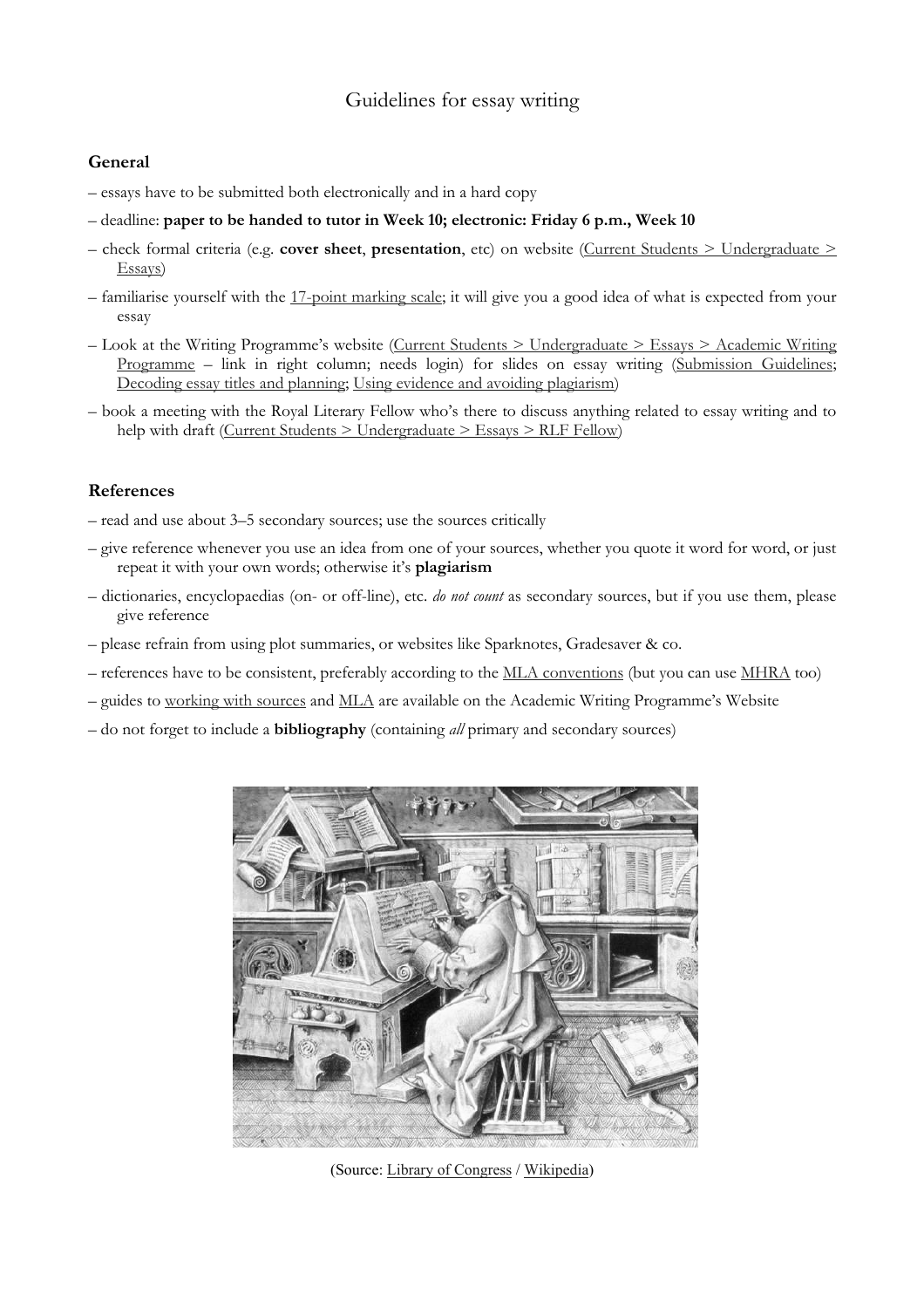## Guidelines for essay writing

## **General**

- essays have to be submitted both electronically and in a hard copy
- deadline: **paper to be handed to tutor in Week 10; electronic: Friday 6 p.m., Week 10**
- check formal criteria (e.g. **cover sheet**, **presentation**, etc) on website [\(Current Students > Undergraduate >](http://www2.warwick.ac.uk/fac/arts/english/currentstudents/undergraduate/essay) [Essays\)](http://www2.warwick.ac.uk/fac/arts/english/currentstudents/undergraduate/essay)
- familiarise yourself with the [17-point marking scale;](http://www2.warwick.ac.uk/fac/arts/english/currentstudents/undergraduate/briefing_note_on_17_point_scale1.doc) it will give you a good idea of what is expected from your essay
- Look at the Writing Programme's website([Current Students > Undergraduate > Essays > Academic Writing](http://www2.warwick.ac.uk/fac/arts/english/writingprog/academicwriting/english/session_3_-_edited.pdf) [Programme](http://www2.warwick.ac.uk/fac/arts/english/writingprog/academicwriting/english/session_3_-_edited.pdf)– link in right column; needs login) for slides on essay writing ([Submission Guidelines](http://www2.warwick.ac.uk/fac/arts/english/writingprog/academicwriting/english/1__submission_guidelines_and_writing_module-specific_essays_presentation.pdf); [Decoding essay titles and planning](http://www2.warwick.ac.uk/fac/arts/english/writingprog/academicwriting/english/session_2_-_ke.pdf); [Using evidence and avoiding plagiarism\)](http://www2.warwick.ac.uk/fac/arts/english/writingprog/academicwriting/english/session_3_-_edited.pdf)
- book a meeting with the Royal Literary Fellow who's there to discuss anything related to essay writing and to help with draft [\(Current Students > Undergraduate > Essays > RLF Fellow\)](mailto:%20RLF.Fellows@warwick.ac.uk)

## **References**

- read and use about 3–5 secondary sources; use the sources critically
- give reference whenever you use an idea from one of your sources, whether you quote it word for word, or just repeat it with your own words; otherwise it's **plagiarism**
- dictionaries, encyclopaedias (on- or off-line), etc. *do not count* as secondary sources, but if you use them, please give reference
- please refrain from using plot summaries, or websites like Sparknotes, Gradesaver & co.
- references have to be consistent, preferably according to the [MLA conventions](http://www.library.cornell.edu/resrch/citmanage/mla) (but you can use [MHRA](http://www.mhra.org.uk/Publications/Books/StyleGuide/index.html) too)
- guides to [working with sources](http://www2.warwick.ac.uk/fac/arts/english/writingprog/academicwriting/english/working_with_sources_ho.doc) and [MLA](http://www2.warwick.ac.uk/fac/arts/english/writingprog/academicwriting/english/using_modern_language_association.pdf) are available on the Academic Writing Programme's Website
- do not forget to include a **bibliography** (containing *all* primary and secondary sources)



(Source: [Library of Congress](http://www.loc.gov/pictures/item/2006680149/) / [Wikipedia](http://en.wikipedia.org/wiki/Scribe))